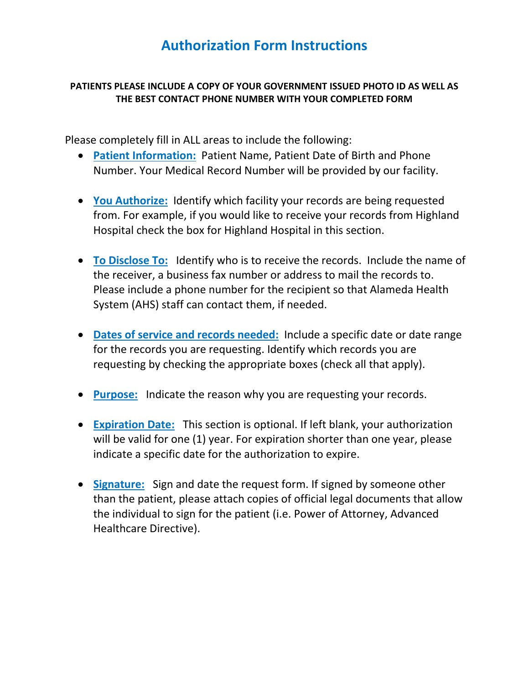# **Authorization Form Instructions**

#### **PATIENTS PLEASE INCLUDE A COPY OF YOUR GOVERNMENT ISSUED PHOTO ID AS WELL AS THE BEST CONTACT PHONE NUMBER WITH YOUR COMPLETED FORM**

Please completely fill in ALL areas to include the following:

- **Patient Information:** Patient Name, Patient Date of Birth and Phone Number. Your Medical Record Number will be provided by our facility.
- **You Authorize:** Identify which facility your records are being requested from. For example, if you would like to receive your records from Highland Hospital check the box for Highland Hospital in this section.
- **To Disclose To:** Identify who is to receive the records. Include the name of the receiver, a business fax number or address to mail the records to. Please include a phone number for the recipient so that Alameda Health System (AHS) staff can contact them, if needed.
- **Dates of service and records needed:** Include a specific date or date range for the records you are requesting. Identify which records you are requesting by checking the appropriate boxes (check all that apply).
- **Purpose:** Indicate the reason why you are requesting your records.
- **Expiration Date:** This section is optional. If left blank, your authorization will be valid for one (1) year. For expiration shorter than one year, please indicate a specific date for the authorization to expire.
- **Signature:** Sign and date the request form. If signed by someone other than the patient, please attach copies of official legal documents that allow the individual to sign for the patient (i.e. Power of Attorney, Advanced Healthcare Directive).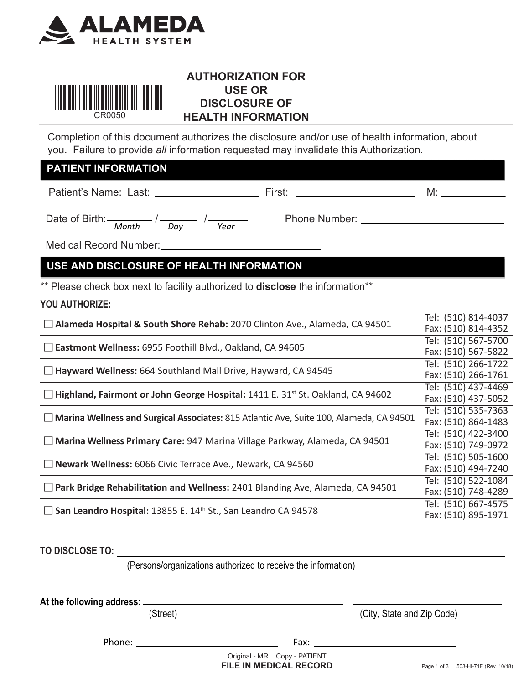



# **AUTHORIZATION FOR USE OR DISCLOSURE OF HEALTH INFORMATION**

Completion of this document authorizes the disclosure and/or use of health information, about you. Failure to provide *all* information requested may invalidate this Authorization.

#### **PATIENT INFORMATION**

Patient's Name: Last: First: M:

Date of Birth: $\frac{1}{2}$  /  $\frac{1}{2}$  /  $\frac{1}{2}$  Phone Number:  *Month Day Year* 

Medical Record Number:

# **USE AND DISCLOSURE OF HEALTH INFORMATION**

\*\* Please check box next to facility authorized to **disclose** the information\*\*

#### **YOU AUTHORIZE:**

|                                                                                                  | Tel: (510) 814-4037 |
|--------------------------------------------------------------------------------------------------|---------------------|
| Alameda Hospital & South Shore Rehab: 2070 Clinton Ave., Alameda, CA 94501                       | Fax: (510) 814-4352 |
|                                                                                                  | Tel: (510) 567-5700 |
| Eastmont Wellness: 6955 Foothill Blvd., Oakland, CA 94605                                        | Fax: (510) 567-5822 |
|                                                                                                  | Tel: (510) 266-1722 |
| Hayward Wellness: 664 Southland Mall Drive, Hayward, CA 94545                                    | Fax: (510) 266-1761 |
|                                                                                                  | Tel: (510) 437-4469 |
| Highland, Fairmont or John George Hospital: 1411 E. 31 <sup>st</sup> St. Oakland, CA 94602       | Fax: (510) 437-5052 |
|                                                                                                  | Tel: (510) 535-7363 |
| Marina Wellness and Surgical Associates: 815 Atlantic Ave, Suite 100, Alameda, CA 94501          | Fax: (510) 864-1483 |
|                                                                                                  | Tel: (510) 422-3400 |
| Marina Wellness Primary Care: 947 Marina Village Parkway, Alameda, CA 94501<br>$\vert \ \ \vert$ | Fax: (510) 749-0972 |
|                                                                                                  | Tel: (510) 505-1600 |
| Newark Wellness: 6066 Civic Terrace Ave., Newark, CA 94560                                       | Fax: (510) 494-7240 |
|                                                                                                  | Tel: (510) 522-1084 |
| Park Bridge Rehabilitation and Wellness: 2401 Blanding Ave, Alameda, CA 94501                    | Fax: (510) 748-4289 |
|                                                                                                  | Tel: (510) 667-4575 |
| San Leandro Hospital: 13855 E. 14 <sup>th</sup> St., San Leandro CA 94578                        | Fax: (510) 895-1971 |

**TO DISCLOSE TO:** 

(Persons/organizations authorized to receive the information)

**At the following address:** 

(Street) (City, State and Zip Code)

Phone: Fax:

**FILE IN MEDICAL RECORD** Page 1 of 3 503-HI-71E (Rev. 10/18) Original - MR Copy - PATIENT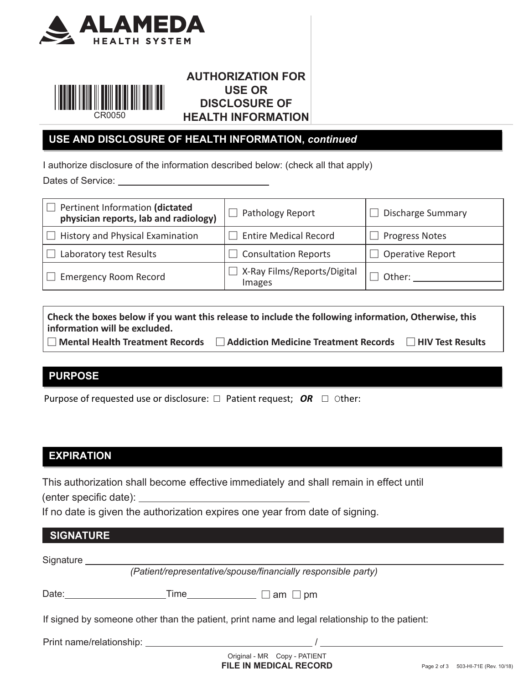



# **AUTHORIZATION FOR USE OR DISCLOSURE OF HEALTH INFORMATION**

# **USE AND DISCLOSURE OF HEALTH INFORMATION,** *continued*

I authorize disclosure of the information described below: (check all that apply)

Dates of Service:

| Pertinent Information (dictated         | Pathology Report                      | Discharge Summary       |
|-----------------------------------------|---------------------------------------|-------------------------|
| physician reports, lab and radiology)   |                                       |                         |
| $\Box$ History and Physical Examination | $\Box$ Entire Medical Record          | Progress Notes          |
| Laboratory test Results                 | $\Box$ Consultation Reports           | $\Box$ Operative Report |
| <b>Emergency Room Record</b>            | K-Ray Films/Reports/Digital<br>Images | Other:                  |
|                                         |                                       |                         |

| Check the boxes below if you want this release to include the following information, Otherwise, this |                                      |                  |  |
|------------------------------------------------------------------------------------------------------|--------------------------------------|------------------|--|
| information will be excluded.                                                                        |                                      |                  |  |
| $\Box$ Mental Health Treatment Records                                                               | Addiction Medicine Treatment Records | HIV Test Results |  |

# **PURPOSE**

Purpose of requested use or disclosure:  $\Box$  Patient request; OR  $\Box$  Other:

#### **EXPIRATION**

This authorization shall become effective immediately and shall remain in effect until (enter specific date):

If no date is given the authorization expires one year from date of signing.

#### **SIGNATURE**

Signature \_\_\_\_\_\_\_

*(Patient/representative/spouse/financially responsible party)*

| Date: | ime | ⊥am<br>⊥ pm |
|-------|-----|-------------|
|-------|-----|-------------|

If signed by someone other than the patient, print name and legal relationship to the patient:

Print name/relationship: /